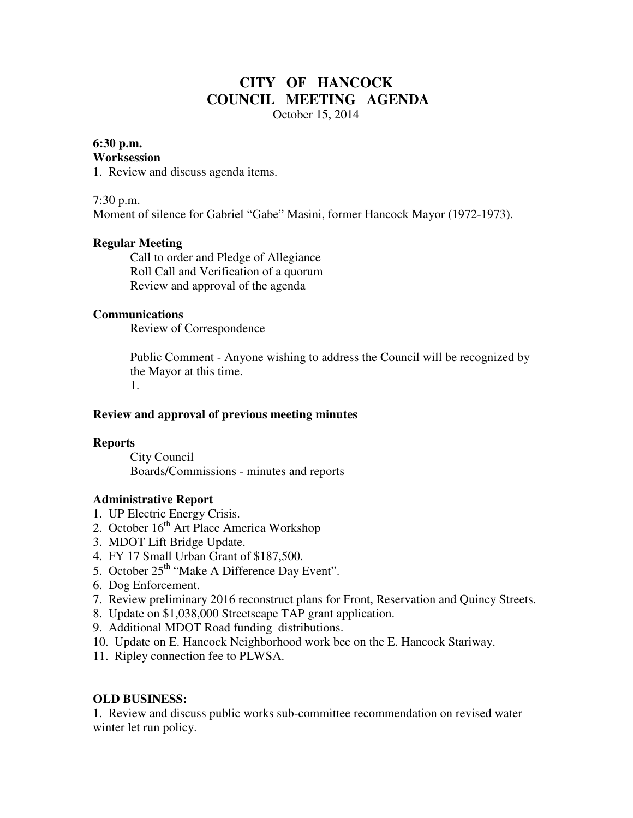# **CITY OF HANCOCK COUNCIL MEETING AGENDA**

October 15, 2014

# **6:30 p.m.**

#### **Worksession**

1. Review and discuss agenda items.

7:30 p.m. Moment of silence for Gabriel "Gabe" Masini, former Hancock Mayor (1972-1973).

## **Regular Meeting**

 Call to order and Pledge of Allegiance Roll Call and Verification of a quorum Review and approval of the agenda

#### **Communications**

Review of Correspondence

 Public Comment - Anyone wishing to address the Council will be recognized by the Mayor at this time. 1.

#### **Review and approval of previous meeting minutes**

#### **Reports**

City Council Boards/Commissions - minutes and reports

#### **Administrative Report**

- 1. UP Electric Energy Crisis.
- 2. October  $16<sup>th</sup>$  Art Place America Workshop
- 3. MDOT Lift Bridge Update.
- 4. FY 17 Small Urban Grant of \$187,500.
- 5. October  $25<sup>th</sup>$  "Make A Difference Day Event".
- 6. Dog Enforcement.
- 7. Review preliminary 2016 reconstruct plans for Front, Reservation and Quincy Streets.
- 8. Update on \$1,038,000 Streetscape TAP grant application.
- 9. Additional MDOT Road funding distributions.
- 10. Update on E. Hancock Neighborhood work bee on the E. Hancock Stariway.
- 11. Ripley connection fee to PLWSA.

#### **OLD BUSINESS:**

1. Review and discuss public works sub-committee recommendation on revised water winter let run policy.